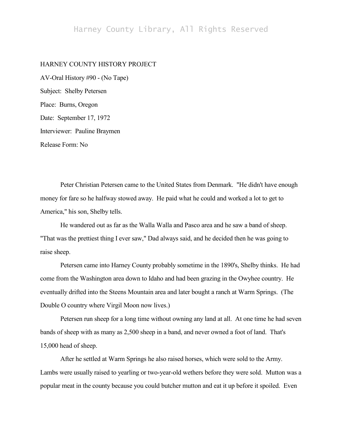## Harney County Library, All Rights Reserved

## HARNEY COUNTY HISTORY PROJECT

AV-Oral History #90 - (No Tape) Subject: Shelby Petersen Place: Burns, Oregon Date: September 17, 1972 Interviewer: Pauline Braymen Release Form: No

Peter Christian Petersen came to the United States from Denmark. "He didn't have enough money for fare so he halfway stowed away. He paid what he could and worked a lot to get to America," his son, Shelby tells.

He wandered out as far as the Walla Walla and Pasco area and he saw a band of sheep. "That was the prettiest thing I ever saw," Dad always said, and he decided then he was going to raise sheep.

Petersen came into Harney County probably sometime in the 1890's, Shelby thinks. He had come from the Washington area down to Idaho and had been grazing in the Owyhee country. He eventually drifted into the Steens Mountain area and later bought a ranch at Warm Springs. (The Double O country where Virgil Moon now lives.)

Petersen run sheep for a long time without owning any land at all. At one time he had seven bands of sheep with as many as 2,500 sheep in a band, and never owned a foot of land. That's 15,000 head of sheep.

After he settled at Warm Springs he also raised horses, which were sold to the Army. Lambs were usually raised to yearling or two-year-old wethers before they were sold. Mutton was a popular meat in the county because you could butcher mutton and eat it up before it spoiled. Even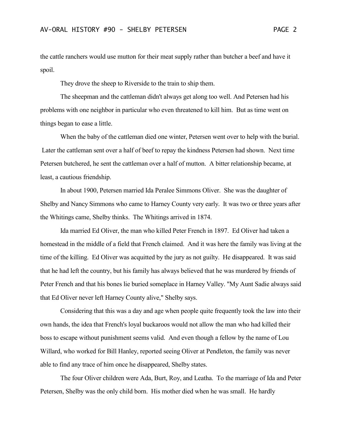the cattle ranchers would use mutton for their meat supply rather than butcher a beef and have it spoil.

They drove the sheep to Riverside to the train to ship them.

The sheepman and the cattleman didn't always get along too well. And Petersen had his problems with one neighbor in particular who even threatened to kill him. But as time went on things began to ease a little.

When the baby of the cattleman died one winter, Petersen went over to help with the burial. Later the cattleman sent over a half of beef to repay the kindness Petersen had shown. Next time Petersen butchered, he sent the cattleman over a half of mutton. A bitter relationship became, at least, a cautious friendship.

In about 1900, Petersen married Ida Peralee Simmons Oliver. She was the daughter of Shelby and Nancy Simmons who came to Harney County very early. It was two or three years after the Whitings came, Shelby thinks. The Whitings arrived in 1874.

Ida married Ed Oliver, the man who killed Peter French in 1897. Ed Oliver had taken a homestead in the middle of a field that French claimed. And it was here the family was living at the time of the killing. Ed Oliver was acquitted by the jury as not guilty. He disappeared. It was said that he had left the country, but his family has always believed that he was murdered by friends of Peter French and that his bones lie buried someplace in Harney Valley. "My Aunt Sadie always said that Ed Oliver never left Harney County alive," Shelby says.

Considering that this was a day and age when people quite frequently took the law into their own hands, the idea that French's loyal buckaroos would not allow the man who had killed their boss to escape without punishment seems valid. And even though a fellow by the name of Lou Willard, who worked for Bill Hanley, reported seeing Oliver at Pendleton, the family was never able to find any trace of him once he disappeared, Shelby states.

The four Oliver children were Ada, Burt, Roy, and Leatha. To the marriage of Ida and Peter Petersen, Shelby was the only child born. His mother died when he was small. He hardly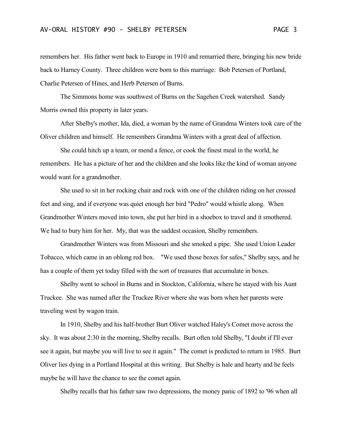remembers her. His father went back to Europe in 1910 and remarried there, bringing his new bride back to Harney County. Three children were born to this marriage: Bob Petersen of Portland, Charlie Petersen of Hines, and Herb Petersen of Burns.

The Simmons home was southwest of Burns on the Sagehen Creek watershed. Sandy Morris owned this property in later years.

After Shelby's mother, Ida, died, a woman by the name of Grandma Winters took care of the Oliver children and himself. He remembers Grandma Winters with a great deal of affection.

She could hitch up a team, or mend a fence, or cook the finest meal in the world, he remembers. He has a picture of her and the children and she looks like the kind of woman anyone would want for a grandmother.

She used to sit in her rocking chair and rock with one of the children riding on her crossed feet and sing, and if everyone was quiet enough her bird "Pedro" would whistle along. When Grandmother Winters moved into town, she put her bird in a shoebox to travel and it smothered. We had to bury him for her. My, that was the saddest occasion, Shelby remembers.

Grandmother Winters was from Missouri and she smoked a pipe. She used Union Leader Tobacco, which came in an oblong red box. "We used those boxes for safes," Shelby says, and he has a couple of them yet today filled with the sort of treasures that accumulate in boxes.

Shelby went to school in Burns and in Stockton, California, where he stayed with his Aunt Truckee. She was named after the Truckee River where she was born when her parents were traveling west by wagon train.

In 1910, Shelby and his half-brother Burt Oliver watched Haley's Comet move across the sky. It was about 2:30 in the morning, Shelby recalls. Burt often told Shelby, "I doubt if I'll ever see it again, but maybe you will live to see it again." The comet is predicted to return in 1985. Burt Oliver lies dying in a Portland Hospital at this writing. But Shelby is hale and hearty and he feels maybe he will have the chance to see the comet again.

Shelby recalls that his father saw two depressions, the money panic of 1892 to '96 when all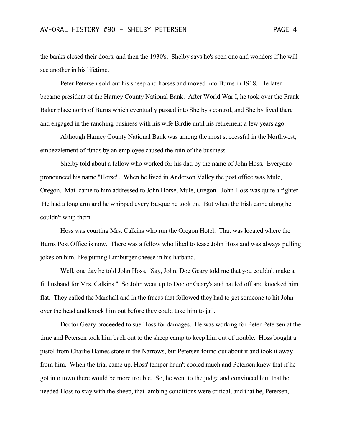the banks closed their doors, and then the 1930's. Shelby says he's seen one and wonders if he will see another in his lifetime.

Peter Petersen sold out his sheep and horses and moved into Burns in 1918. He later became president of the Harney County National Bank. After World War I, he took over the Frank Baker place north of Burns which eventually passed into Shelby's control, and Shelby lived there and engaged in the ranching business with his wife Birdie until his retirement a few years ago.

Although Harney County National Bank was among the most successful in the Northwest; embezzlement of funds by an employee caused the ruin of the business.

Shelby told about a fellow who worked for his dad by the name of John Hoss. Everyone pronounced his name "Horse". When he lived in Anderson Valley the post office was Mule, Oregon. Mail came to him addressed to John Horse, Mule, Oregon. John Hoss was quite a fighter. He had a long arm and he whipped every Basque he took on. But when the Irish came along he couldn't whip them.

Hoss was courting Mrs. Calkins who run the Oregon Hotel. That was located where the Burns Post Office is now. There was a fellow who liked to tease John Hoss and was always pulling jokes on him, like putting Limburger cheese in his hatband.

Well, one day he told John Hoss, "Say, John, Doc Geary told me that you couldn't make a fit husband for Mrs. Calkins." So John went up to Doctor Geary's and hauled off and knocked him flat. They called the Marshall and in the fracas that followed they had to get someone to hit John over the head and knock him out before they could take him to jail.

Doctor Geary proceeded to sue Hoss for damages. He was working for Peter Petersen at the time and Petersen took him back out to the sheep camp to keep him out of trouble. Hoss bought a pistol from Charlie Haines store in the Narrows, but Petersen found out about it and took it away from him. When the trial came up, Hoss' temper hadn't cooled much and Petersen knew that if he got into town there would be more trouble. So, he went to the judge and convinced him that he needed Hoss to stay with the sheep, that lambing conditions were critical, and that he, Petersen,